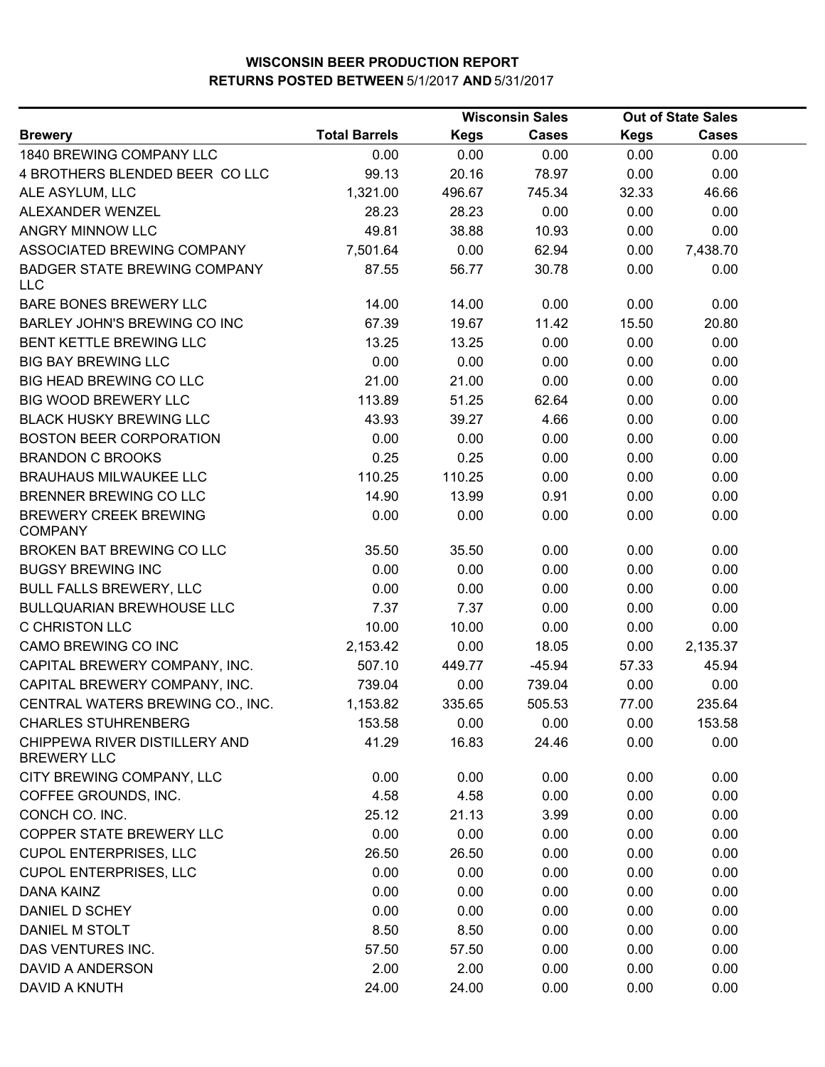|                                                     |                      | <b>Wisconsin Sales</b> |              |             | <b>Out of State Sales</b> |  |
|-----------------------------------------------------|----------------------|------------------------|--------------|-------------|---------------------------|--|
| <b>Brewery</b>                                      | <b>Total Barrels</b> | <b>Kegs</b>            | <b>Cases</b> | <b>Kegs</b> | <b>Cases</b>              |  |
| 1840 BREWING COMPANY LLC                            | 0.00                 | 0.00                   | 0.00         | 0.00        | 0.00                      |  |
| 4 BROTHERS BLENDED BEER COLLC                       | 99.13                | 20.16                  | 78.97        | 0.00        | 0.00                      |  |
| ALE ASYLUM, LLC                                     | 1,321.00             | 496.67                 | 745.34       | 32.33       | 46.66                     |  |
| ALEXANDER WENZEL                                    | 28.23                | 28.23                  | 0.00         | 0.00        | 0.00                      |  |
| ANGRY MINNOW LLC                                    | 49.81                | 38.88                  | 10.93        | 0.00        | 0.00                      |  |
| ASSOCIATED BREWING COMPANY                          | 7,501.64             | 0.00                   | 62.94        | 0.00        | 7,438.70                  |  |
| <b>BADGER STATE BREWING COMPANY</b><br><b>LLC</b>   | 87.55                | 56.77                  | 30.78        | 0.00        | 0.00                      |  |
| BARE BONES BREWERY LLC                              | 14.00                | 14.00                  | 0.00         | 0.00        | 0.00                      |  |
| <b>BARLEY JOHN'S BREWING CO INC</b>                 | 67.39                | 19.67                  | 11.42        | 15.50       | 20.80                     |  |
| BENT KETTLE BREWING LLC                             | 13.25                | 13.25                  | 0.00         | 0.00        | 0.00                      |  |
| <b>BIG BAY BREWING LLC</b>                          | 0.00                 | 0.00                   | 0.00         | 0.00        | 0.00                      |  |
| BIG HEAD BREWING CO LLC                             | 21.00                | 21.00                  | 0.00         | 0.00        | 0.00                      |  |
| <b>BIG WOOD BREWERY LLC</b>                         | 113.89               | 51.25                  | 62.64        | 0.00        | 0.00                      |  |
| <b>BLACK HUSKY BREWING LLC</b>                      | 43.93                | 39.27                  | 4.66         | 0.00        | 0.00                      |  |
| <b>BOSTON BEER CORPORATION</b>                      | 0.00                 | 0.00                   | 0.00         | 0.00        | 0.00                      |  |
| <b>BRANDON C BROOKS</b>                             | 0.25                 | 0.25                   | 0.00         | 0.00        | 0.00                      |  |
| <b>BRAUHAUS MILWAUKEE LLC</b>                       | 110.25               | 110.25                 | 0.00         | 0.00        | 0.00                      |  |
| BRENNER BREWING CO LLC                              | 14.90                | 13.99                  | 0.91         | 0.00        | 0.00                      |  |
| <b>BREWERY CREEK BREWING</b><br><b>COMPANY</b>      | 0.00                 | 0.00                   | 0.00         | 0.00        | 0.00                      |  |
| BROKEN BAT BREWING CO LLC                           | 35.50                | 35.50                  | 0.00         | 0.00        | 0.00                      |  |
| <b>BUGSY BREWING INC</b>                            | 0.00                 | 0.00                   | 0.00         | 0.00        | 0.00                      |  |
| <b>BULL FALLS BREWERY, LLC</b>                      | 0.00                 | 0.00                   | 0.00         | 0.00        | 0.00                      |  |
| <b>BULLQUARIAN BREWHOUSE LLC</b>                    | 7.37                 | 7.37                   | 0.00         | 0.00        | 0.00                      |  |
| <b>C CHRISTON LLC</b>                               | 10.00                | 10.00                  | 0.00         | 0.00        | 0.00                      |  |
| CAMO BREWING CO INC                                 | 2,153.42             | 0.00                   | 18.05        | 0.00        | 2,135.37                  |  |
| CAPITAL BREWERY COMPANY, INC.                       | 507.10               | 449.77                 | $-45.94$     | 57.33       | 45.94                     |  |
| CAPITAL BREWERY COMPANY, INC.                       | 739.04               | 0.00                   | 739.04       | 0.00        | 0.00                      |  |
| CENTRAL WATERS BREWING CO., INC.                    | 1,153.82             | 335.65                 | 505.53       | 77.00       | 235.64                    |  |
| <b>CHARLES STUHRENBERG</b>                          | 153.58               | 0.00                   | 0.00         | 0.00        | 153.58                    |  |
| CHIPPEWA RIVER DISTILLERY AND<br><b>BREWERY LLC</b> | 41.29                | 16.83                  | 24.46        | 0.00        | 0.00                      |  |
| CITY BREWING COMPANY, LLC                           | 0.00                 | 0.00                   | 0.00         | 0.00        | 0.00                      |  |
| COFFEE GROUNDS, INC.                                | 4.58                 | 4.58                   | 0.00         | 0.00        | 0.00                      |  |
| CONCH CO. INC.                                      | 25.12                | 21.13                  | 3.99         | 0.00        | 0.00                      |  |
| COPPER STATE BREWERY LLC                            | 0.00                 | 0.00                   | 0.00         | 0.00        | 0.00                      |  |
| <b>CUPOL ENTERPRISES, LLC</b>                       | 26.50                | 26.50                  | 0.00         | 0.00        | 0.00                      |  |
| <b>CUPOL ENTERPRISES, LLC</b>                       | 0.00                 | 0.00                   | 0.00         | 0.00        | 0.00                      |  |
| DANA KAINZ                                          | 0.00                 | 0.00                   | 0.00         | 0.00        | 0.00                      |  |
| DANIEL D SCHEY                                      | 0.00                 | 0.00                   | 0.00         | 0.00        | 0.00                      |  |
| DANIEL M STOLT                                      | 8.50                 | 8.50                   | 0.00         | 0.00        | 0.00                      |  |
| DAS VENTURES INC.                                   | 57.50                | 57.50                  | 0.00         | 0.00        | 0.00                      |  |
| DAVID A ANDERSON                                    | 2.00                 | 2.00                   | 0.00         | 0.00        | 0.00                      |  |
| DAVID A KNUTH                                       | 24.00                | 24.00                  | 0.00         | 0.00        | 0.00                      |  |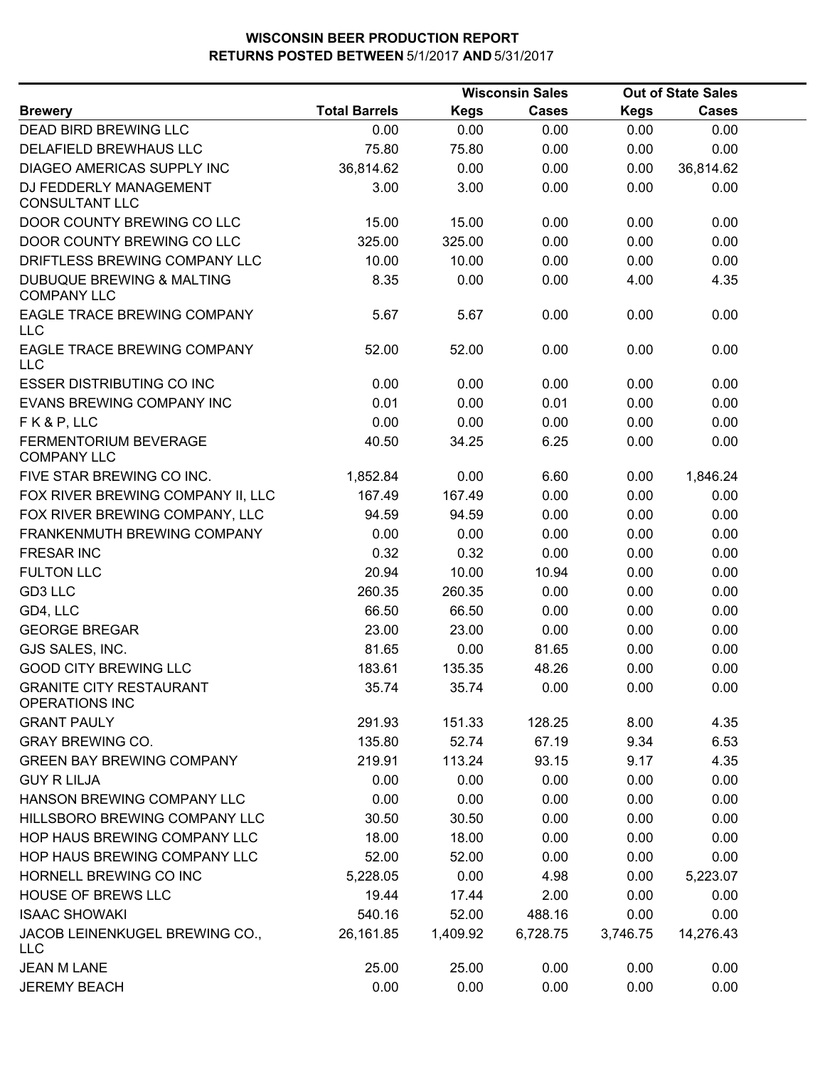|                                                            |                      |             | <b>Wisconsin Sales</b> |             | <b>Out of State Sales</b> |  |
|------------------------------------------------------------|----------------------|-------------|------------------------|-------------|---------------------------|--|
| <b>Brewery</b>                                             | <b>Total Barrels</b> | <b>Kegs</b> | <b>Cases</b>           | <b>Kegs</b> | <b>Cases</b>              |  |
| DEAD BIRD BREWING LLC                                      | 0.00                 | 0.00        | 0.00                   | 0.00        | 0.00                      |  |
| DELAFIELD BREWHAUS LLC                                     | 75.80                | 75.80       | 0.00                   | 0.00        | 0.00                      |  |
| DIAGEO AMERICAS SUPPLY INC                                 | 36,814.62            | 0.00        | 0.00                   | 0.00        | 36,814.62                 |  |
| DJ FEDDERLY MANAGEMENT<br><b>CONSULTANT LLC</b>            | 3.00                 | 3.00        | 0.00                   | 0.00        | 0.00                      |  |
| DOOR COUNTY BREWING CO LLC                                 | 15.00                | 15.00       | 0.00                   | 0.00        | 0.00                      |  |
| DOOR COUNTY BREWING CO LLC                                 | 325.00               | 325.00      | 0.00                   | 0.00        | 0.00                      |  |
| DRIFTLESS BREWING COMPANY LLC                              | 10.00                | 10.00       | 0.00                   | 0.00        | 0.00                      |  |
| <b>DUBUQUE BREWING &amp; MALTING</b><br><b>COMPANY LLC</b> | 8.35                 | 0.00        | 0.00                   | 4.00        | 4.35                      |  |
| EAGLE TRACE BREWING COMPANY<br>LLC                         | 5.67                 | 5.67        | 0.00                   | 0.00        | 0.00                      |  |
| EAGLE TRACE BREWING COMPANY<br><b>LLC</b>                  | 52.00                | 52.00       | 0.00                   | 0.00        | 0.00                      |  |
| <b>ESSER DISTRIBUTING CO INC</b>                           | 0.00                 | 0.00        | 0.00                   | 0.00        | 0.00                      |  |
| EVANS BREWING COMPANY INC                                  | 0.01                 | 0.00        | 0.01                   | 0.00        | 0.00                      |  |
| FK&P, LLC                                                  | 0.00                 | 0.00        | 0.00                   | 0.00        | 0.00                      |  |
| FERMENTORIUM BEVERAGE<br><b>COMPANY LLC</b>                | 40.50                | 34.25       | 6.25                   | 0.00        | 0.00                      |  |
| FIVE STAR BREWING CO INC.                                  | 1,852.84             | 0.00        | 6.60                   | 0.00        | 1,846.24                  |  |
| FOX RIVER BREWING COMPANY II, LLC                          | 167.49               | 167.49      | 0.00                   | 0.00        | 0.00                      |  |
| FOX RIVER BREWING COMPANY, LLC                             | 94.59                | 94.59       | 0.00                   | 0.00        | 0.00                      |  |
| FRANKENMUTH BREWING COMPANY                                | 0.00                 | 0.00        | 0.00                   | 0.00        | 0.00                      |  |
| <b>FRESAR INC</b>                                          | 0.32                 | 0.32        | 0.00                   | 0.00        | 0.00                      |  |
| <b>FULTON LLC</b>                                          | 20.94                | 10.00       | 10.94                  | 0.00        | 0.00                      |  |
| GD3 LLC                                                    | 260.35               | 260.35      | 0.00                   | 0.00        | 0.00                      |  |
| GD4, LLC                                                   | 66.50                | 66.50       | 0.00                   | 0.00        | 0.00                      |  |
| <b>GEORGE BREGAR</b>                                       | 23.00                | 23.00       | 0.00                   | 0.00        | 0.00                      |  |
| GJS SALES, INC.                                            | 81.65                | 0.00        | 81.65                  | 0.00        | 0.00                      |  |
| <b>GOOD CITY BREWING LLC</b>                               | 183.61               | 135.35      | 48.26                  | 0.00        | 0.00                      |  |
| <b>GRANITE CITY RESTAURANT</b><br><b>OPERATIONS INC</b>    | 35.74                | 35.74       | 0.00                   | 0.00        | 0.00                      |  |
| <b>GRANT PAULY</b>                                         | 291.93               | 151.33      | 128.25                 | 8.00        | 4.35                      |  |
| <b>GRAY BREWING CO.</b>                                    | 135.80               | 52.74       | 67.19                  | 9.34        | 6.53                      |  |
| <b>GREEN BAY BREWING COMPANY</b>                           | 219.91               | 113.24      | 93.15                  | 9.17        | 4.35                      |  |
| <b>GUY R LILJA</b>                                         | 0.00                 | 0.00        | 0.00                   | 0.00        | 0.00                      |  |
| HANSON BREWING COMPANY LLC                                 | 0.00                 | 0.00        | 0.00                   | 0.00        | 0.00                      |  |
| HILLSBORO BREWING COMPANY LLC                              | 30.50                | 30.50       | 0.00                   | 0.00        | 0.00                      |  |
| HOP HAUS BREWING COMPANY LLC                               | 18.00                | 18.00       | 0.00                   | 0.00        | 0.00                      |  |
| HOP HAUS BREWING COMPANY LLC                               | 52.00                | 52.00       | 0.00                   | 0.00        | 0.00                      |  |
| HORNELL BREWING CO INC                                     | 5,228.05             | 0.00        | 4.98                   | 0.00        | 5,223.07                  |  |
| <b>HOUSE OF BREWS LLC</b>                                  | 19.44                | 17.44       | 2.00                   | 0.00        | 0.00                      |  |
| <b>ISAAC SHOWAKI</b>                                       | 540.16               | 52.00       | 488.16                 | 0.00        | 0.00                      |  |
| JACOB LEINENKUGEL BREWING CO.,<br>LLC                      | 26,161.85            | 1,409.92    | 6,728.75               | 3,746.75    | 14,276.43                 |  |
| <b>JEAN M LANE</b>                                         | 25.00                | 25.00       | 0.00                   | 0.00        | 0.00                      |  |
| <b>JEREMY BEACH</b>                                        | 0.00                 | 0.00        | 0.00                   | 0.00        | 0.00                      |  |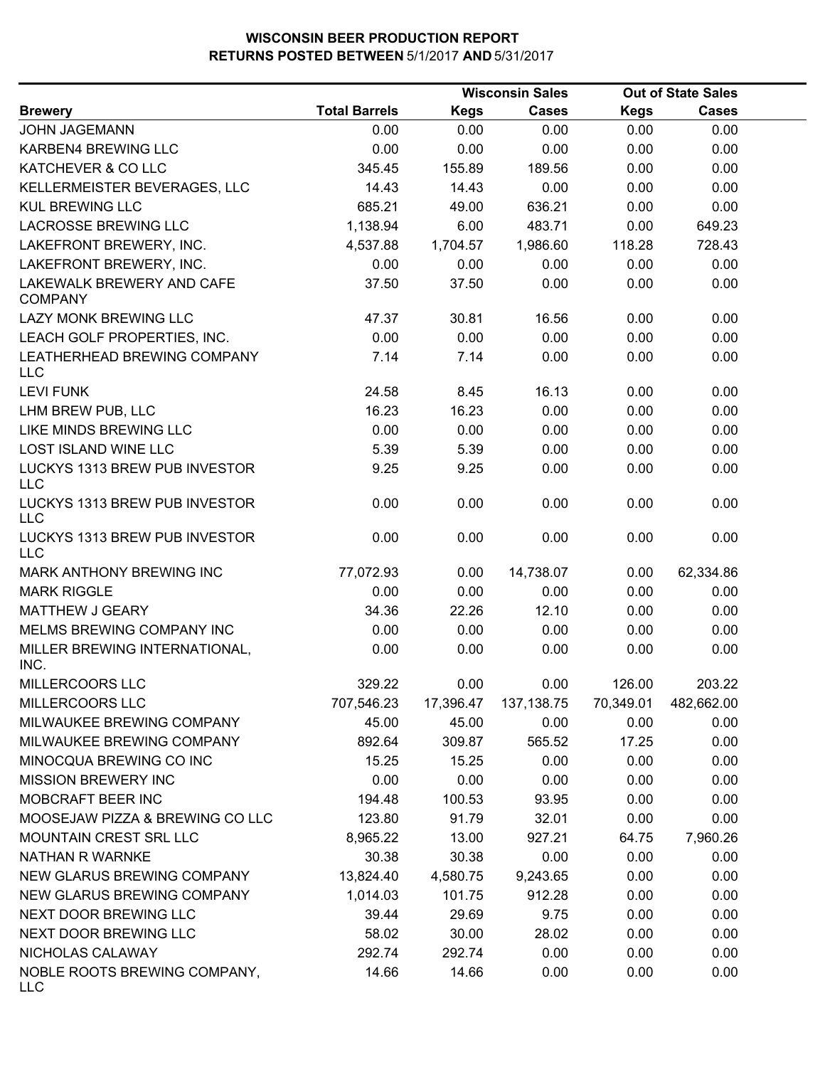|                                             |                      |             | <b>Wisconsin Sales</b> |             | <b>Out of State Sales</b> |  |
|---------------------------------------------|----------------------|-------------|------------------------|-------------|---------------------------|--|
| <b>Brewery</b>                              | <b>Total Barrels</b> | <b>Kegs</b> | <b>Cases</b>           | <b>Kegs</b> | Cases                     |  |
| <b>JOHN JAGEMANN</b>                        | 0.00                 | 0.00        | 0.00                   | 0.00        | 0.00                      |  |
| KARBEN4 BREWING LLC                         | 0.00                 | 0.00        | 0.00                   | 0.00        | 0.00                      |  |
| KATCHEVER & CO LLC                          | 345.45               | 155.89      | 189.56                 | 0.00        | 0.00                      |  |
| KELLERMEISTER BEVERAGES, LLC                | 14.43                | 14.43       | 0.00                   | 0.00        | 0.00                      |  |
| <b>KUL BREWING LLC</b>                      | 685.21               | 49.00       | 636.21                 | 0.00        | 0.00                      |  |
| <b>LACROSSE BREWING LLC</b>                 | 1,138.94             | 6.00        | 483.71                 | 0.00        | 649.23                    |  |
| LAKEFRONT BREWERY, INC.                     | 4,537.88             | 1,704.57    | 1,986.60               | 118.28      | 728.43                    |  |
| LAKEFRONT BREWERY, INC.                     | 0.00                 | 0.00        | 0.00                   | 0.00        | 0.00                      |  |
| LAKEWALK BREWERY AND CAFE<br><b>COMPANY</b> | 37.50                | 37.50       | 0.00                   | 0.00        | 0.00                      |  |
| LAZY MONK BREWING LLC                       | 47.37                | 30.81       | 16.56                  | 0.00        | 0.00                      |  |
| LEACH GOLF PROPERTIES, INC.                 | 0.00                 | 0.00        | 0.00                   | 0.00        | 0.00                      |  |
| LEATHERHEAD BREWING COMPANY<br><b>LLC</b>   | 7.14                 | 7.14        | 0.00                   | 0.00        | 0.00                      |  |
| <b>LEVI FUNK</b>                            | 24.58                | 8.45        | 16.13                  | 0.00        | 0.00                      |  |
| LHM BREW PUB, LLC                           | 16.23                | 16.23       | 0.00                   | 0.00        | 0.00                      |  |
| LIKE MINDS BREWING LLC                      | 0.00                 | 0.00        | 0.00                   | 0.00        | 0.00                      |  |
| <b>LOST ISLAND WINE LLC</b>                 | 5.39                 | 5.39        | 0.00                   | 0.00        | 0.00                      |  |
| LUCKYS 1313 BREW PUB INVESTOR<br><b>LLC</b> | 9.25                 | 9.25        | 0.00                   | 0.00        | 0.00                      |  |
| LUCKYS 1313 BREW PUB INVESTOR<br><b>LLC</b> | 0.00                 | 0.00        | 0.00                   | 0.00        | 0.00                      |  |
| LUCKYS 1313 BREW PUB INVESTOR<br><b>LLC</b> | 0.00                 | 0.00        | 0.00                   | 0.00        | 0.00                      |  |
| MARK ANTHONY BREWING INC                    | 77,072.93            | 0.00        | 14,738.07              | 0.00        | 62,334.86                 |  |
| <b>MARK RIGGLE</b>                          | 0.00                 | 0.00        | 0.00                   | 0.00        | 0.00                      |  |
| <b>MATTHEW J GEARY</b>                      | 34.36                | 22.26       | 12.10                  | 0.00        | 0.00                      |  |
| MELMS BREWING COMPANY INC                   | 0.00                 | 0.00        | 0.00                   | 0.00        | 0.00                      |  |
| MILLER BREWING INTERNATIONAL,<br>INC.       | 0.00                 | 0.00        | 0.00                   | 0.00        | 0.00                      |  |
| MILLERCOORS LLC                             | 329.22               | 0.00        | 0.00                   | 126.00      | 203.22                    |  |
| MILLERCOORS LLC                             | 707,546.23           | 17,396.47   | 137, 138.75            | 70,349.01   | 482,662.00                |  |
| MILWAUKEE BREWING COMPANY                   | 45.00                | 45.00       | 0.00                   | 0.00        | 0.00                      |  |
| MILWAUKEE BREWING COMPANY                   | 892.64               | 309.87      | 565.52                 | 17.25       | 0.00                      |  |
| MINOCQUA BREWING CO INC                     | 15.25                | 15.25       | 0.00                   | 0.00        | 0.00                      |  |
| <b>MISSION BREWERY INC</b>                  | 0.00                 | 0.00        | 0.00                   | 0.00        | 0.00                      |  |
| MOBCRAFT BEER INC                           | 194.48               | 100.53      | 93.95                  | 0.00        | 0.00                      |  |
| MOOSEJAW PIZZA & BREWING CO LLC             | 123.80               | 91.79       | 32.01                  | 0.00        | 0.00                      |  |
| MOUNTAIN CREST SRL LLC                      | 8,965.22             | 13.00       | 927.21                 | 64.75       | 7,960.26                  |  |
| NATHAN R WARNKE                             | 30.38                | 30.38       | 0.00                   | 0.00        | 0.00                      |  |
| NEW GLARUS BREWING COMPANY                  | 13,824.40            | 4,580.75    | 9,243.65               | 0.00        | 0.00                      |  |
| NEW GLARUS BREWING COMPANY                  | 1,014.03             | 101.75      | 912.28                 | 0.00        | 0.00                      |  |
| NEXT DOOR BREWING LLC                       | 39.44                | 29.69       | 9.75                   | 0.00        | 0.00                      |  |
| NEXT DOOR BREWING LLC                       | 58.02                | 30.00       | 28.02                  | 0.00        | 0.00                      |  |
| NICHOLAS CALAWAY                            | 292.74               | 292.74      | 0.00                   | 0.00        | 0.00                      |  |
| NOBLE ROOTS BREWING COMPANY,<br><b>LLC</b>  | 14.66                | 14.66       | 0.00                   | 0.00        | 0.00                      |  |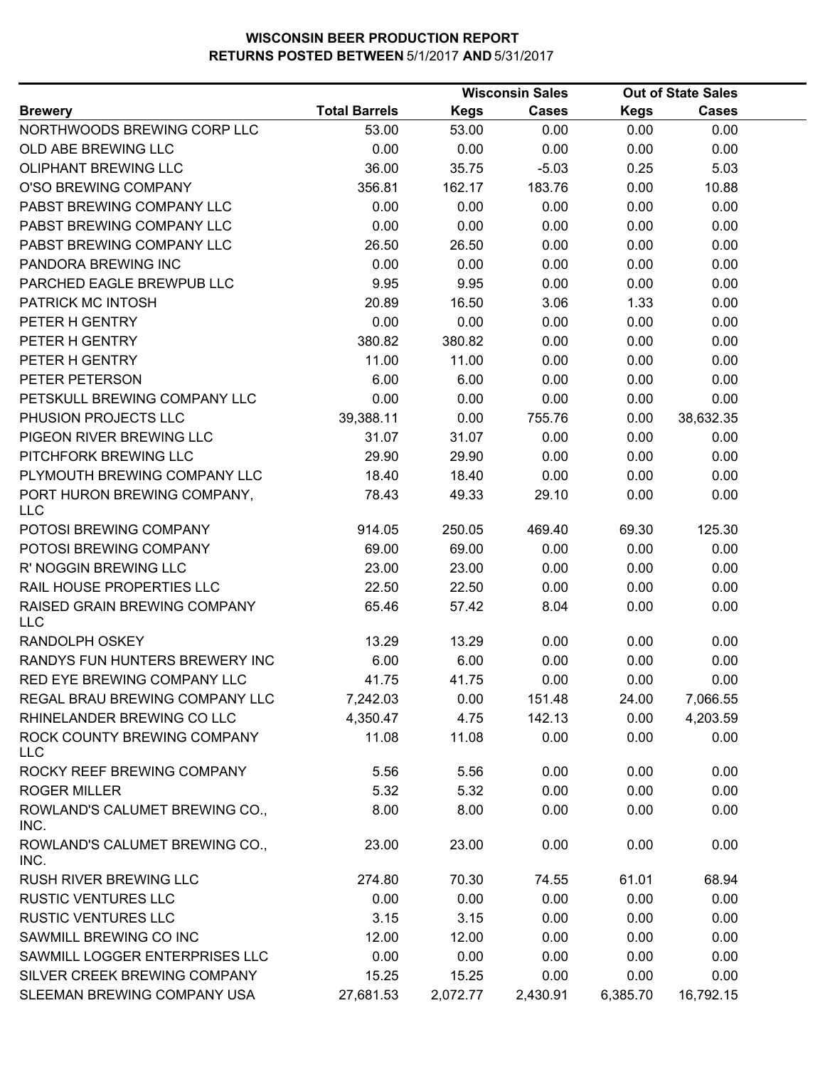|                                            |                      |             | <b>Wisconsin Sales</b> |             | <b>Out of State Sales</b> |  |
|--------------------------------------------|----------------------|-------------|------------------------|-------------|---------------------------|--|
| <b>Brewery</b>                             | <b>Total Barrels</b> | <b>Kegs</b> | <b>Cases</b>           | <b>Kegs</b> | <b>Cases</b>              |  |
| NORTHWOODS BREWING CORP LLC                | 53.00                | 53.00       | 0.00                   | 0.00        | 0.00                      |  |
| OLD ABE BREWING LLC                        | 0.00                 | 0.00        | 0.00                   | 0.00        | 0.00                      |  |
| OLIPHANT BREWING LLC                       | 36.00                | 35.75       | $-5.03$                | 0.25        | 5.03                      |  |
| O'SO BREWING COMPANY                       | 356.81               | 162.17      | 183.76                 | 0.00        | 10.88                     |  |
| PABST BREWING COMPANY LLC                  | 0.00                 | 0.00        | 0.00                   | 0.00        | 0.00                      |  |
| PABST BREWING COMPANY LLC                  | 0.00                 | 0.00        | 0.00                   | 0.00        | 0.00                      |  |
| PABST BREWING COMPANY LLC                  | 26.50                | 26.50       | 0.00                   | 0.00        | 0.00                      |  |
| PANDORA BREWING INC                        | 0.00                 | 0.00        | 0.00                   | 0.00        | 0.00                      |  |
| PARCHED EAGLE BREWPUB LLC                  | 9.95                 | 9.95        | 0.00                   | 0.00        | 0.00                      |  |
| PATRICK MC INTOSH                          | 20.89                | 16.50       | 3.06                   | 1.33        | 0.00                      |  |
| PETER H GENTRY                             | 0.00                 | 0.00        | 0.00                   | 0.00        | 0.00                      |  |
| PETER H GENTRY                             | 380.82               | 380.82      | 0.00                   | 0.00        | 0.00                      |  |
| PETER H GENTRY                             | 11.00                | 11.00       | 0.00                   | 0.00        | 0.00                      |  |
| PETER PETERSON                             | 6.00                 | 6.00        | 0.00                   | 0.00        | 0.00                      |  |
| PETSKULL BREWING COMPANY LLC               | 0.00                 | 0.00        | 0.00                   | 0.00        | 0.00                      |  |
| PHUSION PROJECTS LLC                       | 39,388.11            | 0.00        | 755.76                 | 0.00        | 38,632.35                 |  |
| PIGEON RIVER BREWING LLC                   | 31.07                | 31.07       | 0.00                   | 0.00        | 0.00                      |  |
| PITCHFORK BREWING LLC                      | 29.90                | 29.90       | 0.00                   | 0.00        | 0.00                      |  |
| PLYMOUTH BREWING COMPANY LLC               | 18.40                | 18.40       | 0.00                   | 0.00        | 0.00                      |  |
| PORT HURON BREWING COMPANY,<br><b>LLC</b>  | 78.43                | 49.33       | 29.10                  | 0.00        | 0.00                      |  |
| POTOSI BREWING COMPANY                     | 914.05               | 250.05      | 469.40                 | 69.30       | 125.30                    |  |
| POTOSI BREWING COMPANY                     | 69.00                | 69.00       | 0.00                   | 0.00        | 0.00                      |  |
| R' NOGGIN BREWING LLC                      | 23.00                | 23.00       | 0.00                   | 0.00        | 0.00                      |  |
| RAIL HOUSE PROPERTIES LLC                  | 22.50                | 22.50       | 0.00                   | 0.00        | 0.00                      |  |
| RAISED GRAIN BREWING COMPANY<br><b>LLC</b> | 65.46                | 57.42       | 8.04                   | 0.00        | 0.00                      |  |
| RANDOLPH OSKEY                             | 13.29                | 13.29       | 0.00                   | 0.00        | 0.00                      |  |
| RANDYS FUN HUNTERS BREWERY INC             | 6.00                 | 6.00        | 0.00                   | 0.00        | 0.00                      |  |
| RED EYE BREWING COMPANY LLC                | 41.75                | 41.75       | 0.00                   | 0.00        | 0.00                      |  |
| REGAL BRAU BREWING COMPANY LLC             | 7,242.03             | 0.00        | 151.48                 | 24.00       | 7,066.55                  |  |
| RHINELANDER BREWING CO LLC                 | 4,350.47             | 4.75        | 142.13                 | 0.00        | 4,203.59                  |  |
| ROCK COUNTY BREWING COMPANY<br><b>LLC</b>  | 11.08                | 11.08       | 0.00                   | 0.00        | 0.00                      |  |
| ROCKY REEF BREWING COMPANY                 | 5.56                 | 5.56        | 0.00                   | 0.00        | 0.00                      |  |
| <b>ROGER MILLER</b>                        | 5.32                 | 5.32        | 0.00                   | 0.00        | 0.00                      |  |
| ROWLAND'S CALUMET BREWING CO.,<br>INC.     | 8.00                 | 8.00        | 0.00                   | 0.00        | 0.00                      |  |
| ROWLAND'S CALUMET BREWING CO.,<br>INC.     | 23.00                | 23.00       | 0.00                   | 0.00        | 0.00                      |  |
| RUSH RIVER BREWING LLC                     | 274.80               | 70.30       | 74.55                  | 61.01       | 68.94                     |  |
| <b>RUSTIC VENTURES LLC</b>                 | 0.00                 | 0.00        | 0.00                   | 0.00        | 0.00                      |  |
| <b>RUSTIC VENTURES LLC</b>                 | 3.15                 | 3.15        | 0.00                   | 0.00        | 0.00                      |  |
| SAWMILL BREWING CO INC                     | 12.00                | 12.00       | 0.00                   | 0.00        | 0.00                      |  |
| SAWMILL LOGGER ENTERPRISES LLC             | 0.00                 | 0.00        | 0.00                   | 0.00        | 0.00                      |  |
| SILVER CREEK BREWING COMPANY               | 15.25                | 15.25       | 0.00                   | 0.00        | 0.00                      |  |
| SLEEMAN BREWING COMPANY USA                | 27,681.53            | 2,072.77    | 2,430.91               | 6,385.70    | 16,792.15                 |  |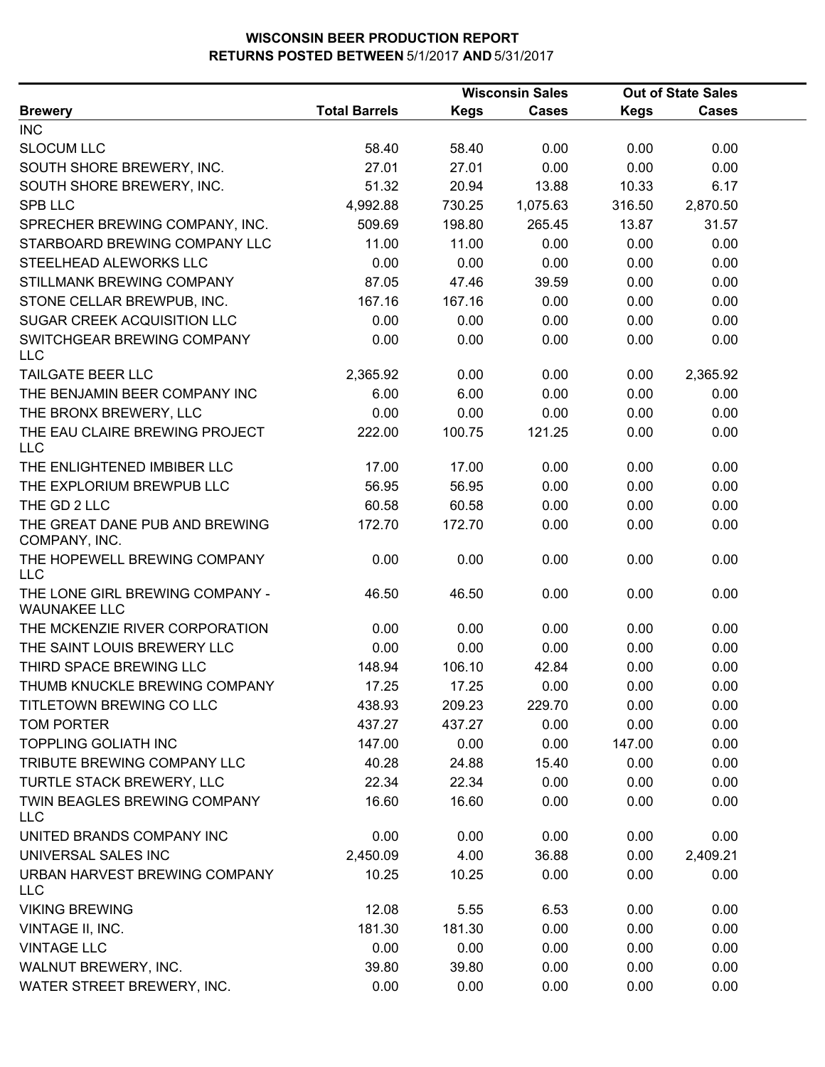|                                                        |                      |        | <b>Wisconsin Sales</b> |        | <b>Out of State Sales</b> |  |
|--------------------------------------------------------|----------------------|--------|------------------------|--------|---------------------------|--|
| <b>Brewery</b>                                         | <b>Total Barrels</b> | Kegs   | <b>Cases</b>           | Kegs   | <b>Cases</b>              |  |
| <b>INC</b>                                             |                      |        |                        |        |                           |  |
| <b>SLOCUM LLC</b>                                      | 58.40                | 58.40  | 0.00                   | 0.00   | 0.00                      |  |
| SOUTH SHORE BREWERY, INC.                              | 27.01                | 27.01  | 0.00                   | 0.00   | 0.00                      |  |
| SOUTH SHORE BREWERY, INC.                              | 51.32                | 20.94  | 13.88                  | 10.33  | 6.17                      |  |
| <b>SPB LLC</b>                                         | 4,992.88             | 730.25 | 1,075.63               | 316.50 | 2,870.50                  |  |
| SPRECHER BREWING COMPANY, INC.                         | 509.69               | 198.80 | 265.45                 | 13.87  | 31.57                     |  |
| STARBOARD BREWING COMPANY LLC                          | 11.00                | 11.00  | 0.00                   | 0.00   | 0.00                      |  |
| STEELHEAD ALEWORKS LLC                                 | 0.00                 | 0.00   | 0.00                   | 0.00   | 0.00                      |  |
| STILLMANK BREWING COMPANY                              | 87.05                | 47.46  | 39.59                  | 0.00   | 0.00                      |  |
| STONE CELLAR BREWPUB, INC.                             | 167.16               | 167.16 | 0.00                   | 0.00   | 0.00                      |  |
| SUGAR CREEK ACQUISITION LLC                            | 0.00                 | 0.00   | 0.00                   | 0.00   | 0.00                      |  |
| SWITCHGEAR BREWING COMPANY<br><b>LLC</b>               | 0.00                 | 0.00   | 0.00                   | 0.00   | 0.00                      |  |
| <b>TAILGATE BEER LLC</b>                               | 2,365.92             | 0.00   | 0.00                   | 0.00   | 2,365.92                  |  |
| THE BENJAMIN BEER COMPANY INC                          | 6.00                 | 6.00   | 0.00                   | 0.00   | 0.00                      |  |
| THE BRONX BREWERY, LLC                                 | 0.00                 | 0.00   | 0.00                   | 0.00   | 0.00                      |  |
| THE EAU CLAIRE BREWING PROJECT<br><b>LLC</b>           | 222.00               | 100.75 | 121.25                 | 0.00   | 0.00                      |  |
| THE ENLIGHTENED IMBIBER LLC                            | 17.00                | 17.00  | 0.00                   | 0.00   | 0.00                      |  |
| THE EXPLORIUM BREWPUB LLC                              | 56.95                | 56.95  | 0.00                   | 0.00   | 0.00                      |  |
| THE GD 2 LLC                                           | 60.58                | 60.58  | 0.00                   | 0.00   | 0.00                      |  |
| THE GREAT DANE PUB AND BREWING<br>COMPANY, INC.        | 172.70               | 172.70 | 0.00                   | 0.00   | 0.00                      |  |
| THE HOPEWELL BREWING COMPANY<br><b>LLC</b>             | 0.00                 | 0.00   | 0.00                   | 0.00   | 0.00                      |  |
| THE LONE GIRL BREWING COMPANY -<br><b>WAUNAKEE LLC</b> | 46.50                | 46.50  | 0.00                   | 0.00   | 0.00                      |  |
| THE MCKENZIE RIVER CORPORATION                         | 0.00                 | 0.00   | 0.00                   | 0.00   | 0.00                      |  |
| THE SAINT LOUIS BREWERY LLC                            | 0.00                 | 0.00   | 0.00                   | 0.00   | 0.00                      |  |
| THIRD SPACE BREWING LLC                                | 148.94               | 106.10 | 42.84                  | 0.00   | 0.00                      |  |
| THUMB KNUCKLE BREWING COMPANY                          | 17.25                | 17.25  | 0.00                   | 0.00   | 0.00                      |  |
| TITLETOWN BREWING CO LLC                               | 438.93               | 209.23 | 229.70                 | 0.00   | 0.00                      |  |
| <b>TOM PORTER</b>                                      | 437.27               | 437.27 | 0.00                   | 0.00   | 0.00                      |  |
| TOPPLING GOLIATH INC                                   | 147.00               | 0.00   | 0.00                   | 147.00 | 0.00                      |  |
| TRIBUTE BREWING COMPANY LLC                            | 40.28                | 24.88  | 15.40                  | 0.00   | 0.00                      |  |
| TURTLE STACK BREWERY, LLC                              | 22.34                | 22.34  | 0.00                   | 0.00   | 0.00                      |  |
| TWIN BEAGLES BREWING COMPANY<br><b>LLC</b>             | 16.60                | 16.60  | 0.00                   | 0.00   | 0.00                      |  |
| UNITED BRANDS COMPANY INC                              | 0.00                 | 0.00   | 0.00                   | 0.00   | 0.00                      |  |
| UNIVERSAL SALES INC                                    | 2,450.09             | 4.00   | 36.88                  | 0.00   | 2,409.21                  |  |
| URBAN HARVEST BREWING COMPANY<br><b>LLC</b>            | 10.25                | 10.25  | 0.00                   | 0.00   | 0.00                      |  |
| <b>VIKING BREWING</b>                                  | 12.08                | 5.55   | 6.53                   | 0.00   | 0.00                      |  |
| VINTAGE II, INC.                                       | 181.30               | 181.30 | 0.00                   | 0.00   | 0.00                      |  |
| <b>VINTAGE LLC</b>                                     | 0.00                 | 0.00   | 0.00                   | 0.00   | 0.00                      |  |
| WALNUT BREWERY, INC.                                   | 39.80                | 39.80  | 0.00                   | 0.00   | 0.00                      |  |
| WATER STREET BREWERY, INC.                             | 0.00                 | 0.00   | 0.00                   | 0.00   | 0.00                      |  |